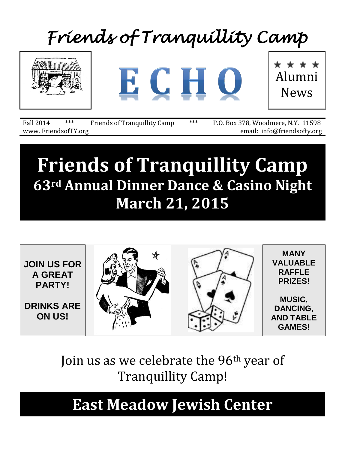# *Friends of Tranquillity Camp*



www. FriendsofTY.org email: info@friendsofty.org

Fall 2014 \*\*\* Friends of Tranquillity Camp \*\*\* P.O. Box 378, Woodmere, N.Y. 11598

# **Friends of Tranquillity Camp 63rd Annual Dinner Dance & Casino Night March 21, 2015**



## Join us as we celebrate the 96<sup>th</sup> year of Tranquillity Camp!

## **East Meadow Jewish Center**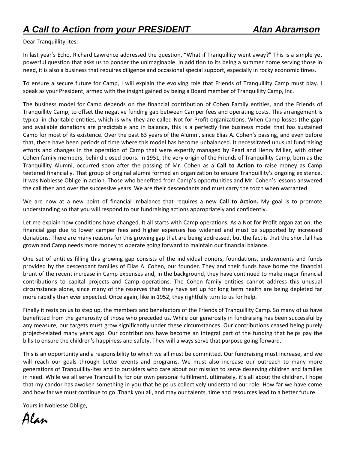### Dear Tranquillity-ites:

In last year's Echo, Richard Lawrence addressed the question, "What if Tranquillity went away?" This is a simple yet powerful question that asks us to ponder the unimaginable. In addition to its being a summer home serving those in need, it is also a business that requires diligence and occasional special support, especially in rocky economic times.

To ensure a secure future for Camp, I will explain the evolving role that Friends of Tranquillity Camp must play. I speak as your President, armed with the insight gained by being a Board member of Tranquillity Camp, Inc.

The business model for Camp depends on the financial contribution of Cohen Family entities, and the Friends of Tranquillity Camp, to offset the negative funding gap between Camper fees and operating costs. This arrangement is typical in charitable entities, which is why they are called Not for Profit organizations. When Camp losses (the gap) and available donations are predictable and in balance, this is a perfectly fine business model that has sustained Camp for most of its existence. Over the past 63 years of the Alumni, since Elias A. Cohen's passing, and even before that, there have been periods of time where this model has become unbalanced. It necessitated unusual fundraising efforts and changes in the operation of Camp that were expertly managed by Pearl and Henry Miller, with other Cohen family members, behind closed doors. In 1951, the very origin of the Friends of Tranquillity Camp, born as the Tranquillity Alumni, occurred soon after the passing of Mr. Cohen as a **Call to Action** to raise money as Camp teetered financially. That group of original alumni formed an organization to ensure Tranquillity's ongoing existence. It was Noblesse Oblige in action. Those who benefited from Camp's opportunities and Mr. Cohen's lessons answered the call then and over the successive years. We are their descendants and must carry the torch when warranted.

We are now at a new point of financial imbalance that requires a new **Call to Action.** My goal is to promote understanding so that you will respond to our fundraising actions appropriately and confidently.

Let me explain how conditions have changed. It all starts with Camp operations. As a Not for Profit organization, the financial gap due to lower camper fees and higher expenses has widened and must be supported by increased donations. There are many reasons for this growing gap that are being addressed, but the fact is that the shortfall has grown and Camp needs more money to operate going forward to maintain our financial balance.

One set of entities filling this growing gap consists of the individual donors, foundations, endowments and funds provided by the descendant families of Elias A. Cohen, our founder. They and their funds have borne the financial brunt of the recent increase in Camp expenses and, in the background, they have continued to make major financial contributions to capital projects and Camp operations. The Cohen family entities cannot address this unusual circumstance alone, since many of the reserves that they have set up for long term health are being depleted far more rapidly than ever expected. Once again, like in 1952, they rightfully turn to us for help.

Finally it rests on us to step up, the members and benefactors of the Friends of Tranquillity Camp. So many of us have benefitted from the generosity of those who preceded us. While our generosity in fundraising has been successful by any measure, our targets must grow significantly under these circumstances. Our contributions ceased being purely project-related many years ago. Our contributions have become an integral part of the funding that helps pay the bills to ensure the children's happiness and safety. They will always serve that purpose going forward.

This is an opportunity and a responsibility to which we all must be committed. Our fundraising must increase, and we will reach our goals through better events and programs. We must also increase our outreach to many more generations of Tranquillity-ites and to outsiders who care about our mission to serve deserving children and families in need. While we all serve Tranquillity for our own personal fulfillment, ultimately, it's all about the children. I hope that my candor has awoken something in you that helps us collectively understand our role. How far we have come and how far we must continue to go. Thank you all, and may our talents, time and resources lead to a better future.

Yours in Noblesse Oblige,

Alan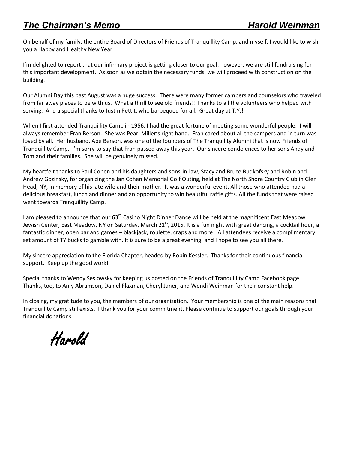### *The Chairman's Memo Harold Weinman*

On behalf of my family, the entire Board of Directors of Friends of Tranquillity Camp, and myself, I would like to wish you a Happy and Healthy New Year.

I'm delighted to report that our infirmary project is getting closer to our goal; however, we are still fundraising for this important development. As soon as we obtain the necessary funds, we will proceed with construction on the building.

Our Alumni Day this past August was a huge success. There were many former campers and counselors who traveled from far away places to be with us. What a thrill to see old friends!! Thanks to all the volunteers who helped with serving. And a special thanks to Justin Pettit, who barbequed for all. Great day at T.Y.!

When I first attended Tranquillity Camp in 1956, I had the great fortune of meeting some wonderful people. I will always remember Fran Berson. She was Pearl Miller's right hand. Fran cared about all the campers and in turn was loved by all. Her husband, Abe Berson, was one of the founders of The Tranquillty Alumni that is now Friends of Tranquillity Camp. I'm sorry to say that Fran passed away this year. Our sincere condolences to her sons Andy and Tom and their families. She will be genuinely missed.

My heartfelt thanks to Paul Cohen and his daughters and sons-in-law, Stacy and Bruce Budkofsky and Robin and Andrew Gozinsky, for organizing the Jan Cohen Memorial Golf Outing, held at The North Shore Country Club in Glen Head, NY, in memory of his late wife and their mother. It was a wonderful event. All those who attended had a delicious breakfast, lunch and dinner and an opportunity to win beautiful raffle gifts. All the funds that were raised went towards Tranquillity Camp.

I am pleased to announce that our 63<sup>rd</sup> Casino Night Dinner Dance will be held at the magnificent East Meadow Jewish Center, East Meadow, NY on Saturday, March 21<sup>st</sup>, 2015. It is a fun night with great dancing, a cocktail hour, a fantastic dinner, open bar and games – blackjack, roulette, craps and more! All attendees receive a complimentary set amount of TY bucks to gamble with. It is sure to be a great evening, and I hope to see you all there.

My sincere appreciation to the Florida Chapter, headed by Robin Kessler. Thanks for their continuous financial support. Keep up the good work!

Special thanks to Wendy Seslowsky for keeping us posted on the Friends of Tranquillity Camp Facebook page. Thanks, too, to Amy Abramson, Daniel Flaxman, Cheryl Janer, and Wendi Weinman for their constant help.

In closing, my gratitude to you, the members of our organization. Your membership is one of the main reasons that Tranquillity Camp still exists. I thank you for your commitment. Please continue to support our goals through your financial donations.

Harold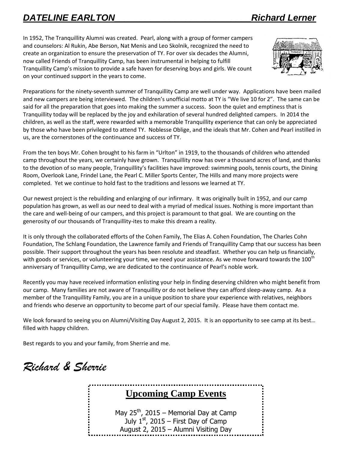### *DATELINE EARLTON\_\_\_\_\_\_\_\_\_\_\_\_\_\_\_\_\_\_\_\_\_\_\_\_\_\_\_Richard Lerner*

In 1952, The Tranquillity Alumni was created. Pearl, along with a group of former campers and counselors: Al Rukin, Abe Berson, Nat Menis and Leo Skolnik, recognized the need to create an organization to ensure the preservation of TY. For over six decades the Alumni, now called Friends of Tranquillity Camp, has been instrumental in helping to fulfill Tranquillity Camp's mission to provide a safe haven for deserving boys and girls. We count on your continued support in the years to come.



Preparations for the ninety-seventh summer of Tranquillity Camp are well under way. Applications have been mailed and new campers are being interviewed. The children's unofficial motto at TY is "We live 10 for 2". The same can be said for all the preparation that goes into making the summer a success. Soon the quiet and emptiness that is Tranquillity today will be replaced by the joy and exhilaration of several hundred delighted campers. In 2014 the children, as well as the staff, were rewarded with a memorable Tranquillity experience that can only be appreciated by those who have been privileged to attend TY. Noblesse Oblige, and the ideals that Mr. Cohen and Pearl instilled in us, are the cornerstones of the continuance and success of TY.

From the ten boys Mr. Cohen brought to his farm in "Urlton" in 1919, to the thousands of children who attended camp throughout the years, we certainly have grown. Tranquillity now has over a thousand acres of land, and thanks to the devotion of so many people, Tranquillity's facilities have improved: swimming pools, tennis courts, the Dining Room, Overlook Lane, Frindel Lane, the Pearl C. Miller Sports Center, The Hills and many more projects were completed. Yet we continue to hold fast to the traditions and lessons we learned at TY.

Our newest project is the rebuilding and enlarging of our infirmary. It was originally built in 1952, and our camp population has grown, as well as our need to deal with a myriad of medical issues. Nothing is more important than the care and well-being of our campers, and this project is paramount to that goal. We are counting on the generosity of our thousands of Tranquillity-ites to make this dream a reality.

It is only through the collaborated efforts of the Cohen Family, The Elias A. Cohen Foundation, The Charles Cohn Foundation, The Schlang Foundation, the Lawrence family and Friends of Tranquillity Camp that our success has been possible. Their support throughout the years has been resolute and steadfast. Whether you can help us financially, with goods or services, or volunteering your time, we need your assistance. As we move forward towards the  $100^{\text{th}}$ anniversary of Tranquillity Camp, we are dedicated to the continuance of Pearl's noble work.

Recently you may have received information enlisting your help in finding deserving children who might benefit from our camp. Many families are not aware of Tranquillity or do not believe they can afford sleep-away camp. As a member of the Tranquillity Family, you are in a unique position to share your experience with relatives, neighbors and friends who deserve an opportunity to become part of our special family. Please have them contact me.

We look forward to seeing you on Alumni/Visiting Day August 2, 2015. It is an opportunity to see camp at its best… filled with happy children.

Best regards to you and your family, from Sherrie and me.

*Richard & Sherrie*

### **Upcoming Camp Events**

May  $25^{th}$ , 2015 – Memorial Day at Camp July  $1<sup>st</sup>$ , 2015 – First Day of Camp August 2, 2015 – Alumni Visiting Day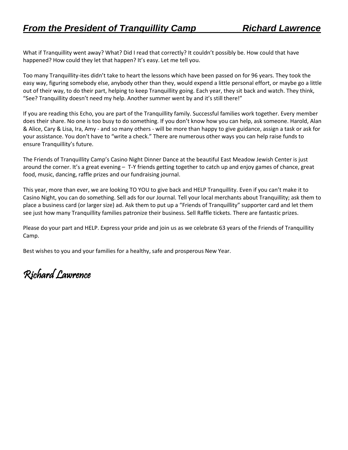What if Tranquillity went away? What? Did I read that correctly? It couldn't possibly be. How could that have happened? How could they let that happen? It's easy. Let me tell you.

Too many Tranquillity-ites didn't take to heart the lessons which have been passed on for 96 years. They took the easy way, figuring somebody else, anybody other than they, would expend a little personal effort, or maybe go a little out of their way, to do their part, helping to keep Tranquillity going. Each year, they sit back and watch. They think, "See? Tranquillity doesn't need my help. Another summer went by and it's still there!"

If you are reading this Echo, you are part of the Tranquillity family. Successful families work together. Every member does their share. No one is too busy to do something. If you don't know how you can help, ask someone. Harold, Alan & Alice, Cary & Lisa, Ira, Amy - and so many others - will be more than happy to give guidance, assign a task or ask for your assistance. You don't have to "write a check." There are numerous other ways you can help raise funds to ensure Tranquillity's future.

The Friends of Tranquillity Camp's Casino Night Dinner Dance at the beautiful East Meadow Jewish Center is just around the corner. It's a great evening – T-Y friends getting together to catch up and enjoy games of chance, great food, music, dancing, raffle prizes and our fundraising journal.

This year, more than ever, we are looking TO YOU to give back and HELP Tranquillity. Even if you can't make it to Casino Night, you can do something. Sell ads for our Journal. Tell your local merchants about Tranquillity; ask them to place a business card (or larger size) ad. Ask them to put up a "Friends of Tranquillity" supporter card and let them see just how many Tranquillity families patronize their business. Sell Raffle tickets. There are fantastic prizes.

Please do your part and HELP. Express your pride and join us as we celebrate 63 years of the Friends of Tranquillity Camp.

Best wishes to you and your families for a healthy, safe and prosperous New Year.

Richard Lawrence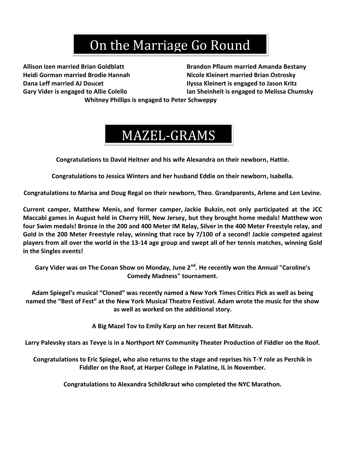## On the Marriage Go Round

**Allison Izen married Brian Goldblatt Brandon Pflaum married Amanda Bestany Heidi Gorman married Brodie Hannah Nicole Kleinert married Brian Ostrosky Dana Leff married AJ Doucet Ilyssa Kleinert is engaged to Jason Kritz Gary Vider is engaged to Allie Colello Ian Sheinheit is engaged to Melissa Chumsky**

**Whitney Phillips is engaged to Peter Schweppy**

## MAZEL-GRAMS

**Congratulations to David Heitner and his wife Alexandra on their newborn, Hattie.**

**Congratulations to Jessica Winters and her husband Eddie on their newborn, Isabella.**

**Congratulations to Marisa and Doug Regal on their newborn, Theo. Grandparents, Arlene and Len Levine.**

**Current camper, Matthew Menis, and former camper, Jackie Bukzin, not only participated at the JCC Maccabi games in August held in Cherry Hill, New Jersey, but they brought home medals! Matthew won four Swim medals! Bronze in the 200 and 400 Meter IM Relay, Silver in the 400 Meter Freestyle relay, and Gold in the 200 Meter Freestyle relay, winning that race by 7/100 of a second! Jackie competed against players from all over the world in the 13-14 age group and swept all of her tennis matches, winning Gold in the Singles events!**

**Gary Vider was on The Conan Show on Monday, June 2nd. He recently won the Annual "Caroline's Comedy Madness" tournament.**

**Adam Spiegel's musical "Cloned" was recently named a New York Times Critics Pick as well as being named the "Best of Fest" at the New York Musical Theatre Festival. Adam wrote the music for the show as well as worked on the additional story.**

**A Big Mazel Tov to Emily Karp on her recent Bat Mitzvah.**

**Larry Palevsky stars as Tevye is in a Northport NY Community Theater Production of Fiddler on the Roof.**

**Congratulations to Eric Spiegel, who also returns to the stage and reprises his T-Y role as Perchik in Fiddler on the Roof, at Harper College in Palatine, IL in November.**

**Congratulations to Alexandra Schildkraut who completed the NYC Marathon.**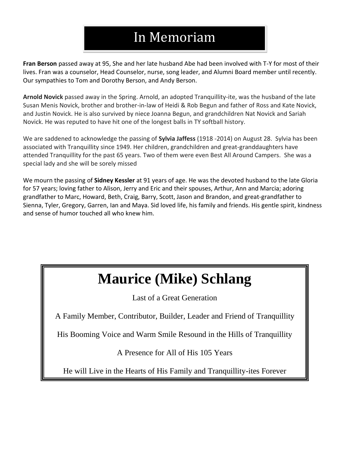### In Memoriam

**Fran Berson** passed away at 95, She and her late husband Abe had been involved with T-Y for most of their lives. Fran was a counselor, Head Counselor, nurse, song leader, and Alumni Board member until recently. Our sympathies to Tom and Dorothy Berson, and Andy Berson.

**Arnold Novick** passed away in the Spring. Arnold, an adopted Tranquillity-ite, was the husband of the late Susan Menis Novick, brother and brother-in-law of Heidi & Rob Begun and father of Ross and Kate Novick, and Justin Novick. He is also survived by niece Joanna Begun, and grandchildren Nat Novick and Sariah Novick. He was reputed to have hit one of the longest balls in TY softball history.

We are saddened to acknowledge the passing of **Sylvia Jaffess** (1918 -2014) on August 28. Sylvia has been associated with Tranquillity since 1949. Her children, grandchildren and great-granddaughters have attended Tranquillity for the past 65 years. Two of them were even Best All Around Campers. She was a special lady and she will be sorely missed

We mourn the passing of **Sidney Kessler** at 91 years of age. He was the devoted husband to the late Gloria for 57 years; loving father to Alison, Jerry and Eric and their spouses, Arthur, Ann and Marcia; adoring grandfather to Marc, Howard, Beth, Craig, Barry, Scott, Jason and Brandon, and great-grandfather to Sienna, Tyler, Gregory, Garren, Ian and Maya. Sid loved life, his family and friends. His gentle spirit, kindness and sense of humor touched all who knew him.

## **Maurice (Mike) Schlang**

Last of a Great Generation

A Family Member, Contributor, Builder, Leader and Friend of Tranquillity

His Booming Voice and Warm Smile Resound in the Hills of Tranquillity

A Presence for All of His 105 Years

He will Live in the Hearts of His Family and Tranquillity-ites Forever